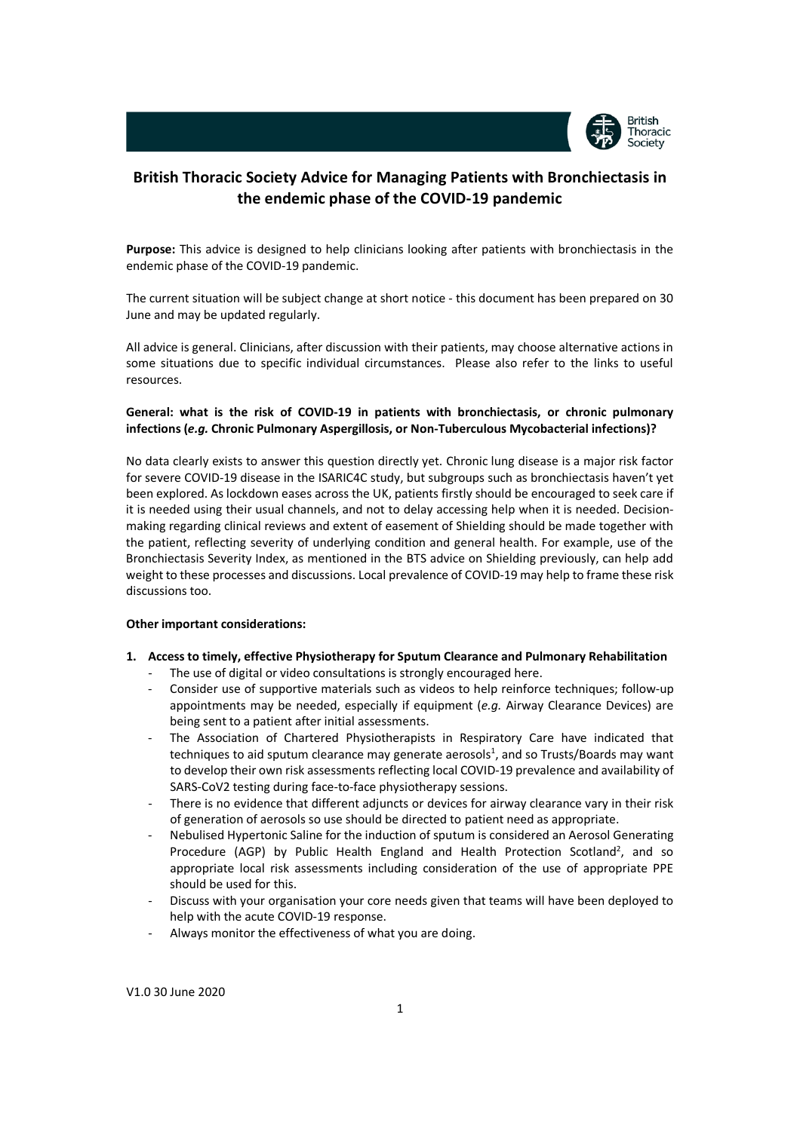

# **British Thoracic Society Advice for Managing Patients with Bronchiectasis in the endemic phase of the COVID-19 pandemic**

**Purpose:** This advice is designed to help clinicians looking after patients with bronchiectasis in the endemic phase of the COVID-19 pandemic.

The current situation will be subject change at short notice - this document has been prepared on 30 June and may be updated regularly.

All advice is general. Clinicians, after discussion with their patients, may choose alternative actions in some situations due to specific individual circumstances. Please also refer to the links to useful resources.

## **General: what is the risk of COVID-19 in patients with bronchiectasis, or chronic pulmonary infections (***e.g.* **Chronic Pulmonary Aspergillosis, or Non-Tuberculous Mycobacterial infections)?**

No data clearly exists to answer this question directly yet. Chronic lung disease is a major risk factor for severe COVID-19 disease in the ISARIC4C study, but subgroups such as bronchiectasis haven't yet been explored. As lockdown eases across the UK, patients firstly should be encouraged to seek care if it is needed using their usual channels, and not to delay accessing help when it is needed. Decisionmaking regarding clinical reviews and extent of easement of Shielding should be made together with the patient, reflecting severity of underlying condition and general health. For example, use of the Bronchiectasis Severity Index, as mentioned in the BTS advice on Shielding previously, can help add weight to these processes and discussions. Local prevalence of COVID-19 may help to frame these risk discussions too.

### **Other important considerations:**

## **1. Access to timely, effective Physiotherapy for Sputum Clearance and Pulmonary Rehabilitation**

- The use of digital or video consultations is strongly encouraged here.
- Consider use of supportive materials such as videos to help reinforce techniques; follow-up appointments may be needed, especially if equipment (*e.g.* Airway Clearance Devices) are being sent to a patient after initial assessments.
- The Association of Chartered Physiotherapists in Respiratory Care have indicated that techniques to aid sputum clearance may generate aerosols<sup>1</sup>, and so Trusts/Boards may want to develop their own risk assessments reflecting local COVID-19 prevalence and availability of SARS-CoV2 testing during face-to-face physiotherapy sessions.
- There is no evidence that different adjuncts or devices for airway clearance vary in their risk of generation of aerosols so use should be directed to patient need as appropriate.
- Nebulised Hypertonic Saline for the induction of sputum is considered an Aerosol Generating Procedure (AGP) by Public Health England and Health Protection Scotland<sup>2</sup>, and so appropriate local risk assessments including consideration of the use of appropriate PPE should be used for this.
- Discuss with your organisation your core needs given that teams will have been deployed to help with the acute COVID-19 response.
- Always monitor the effectiveness of what you are doing.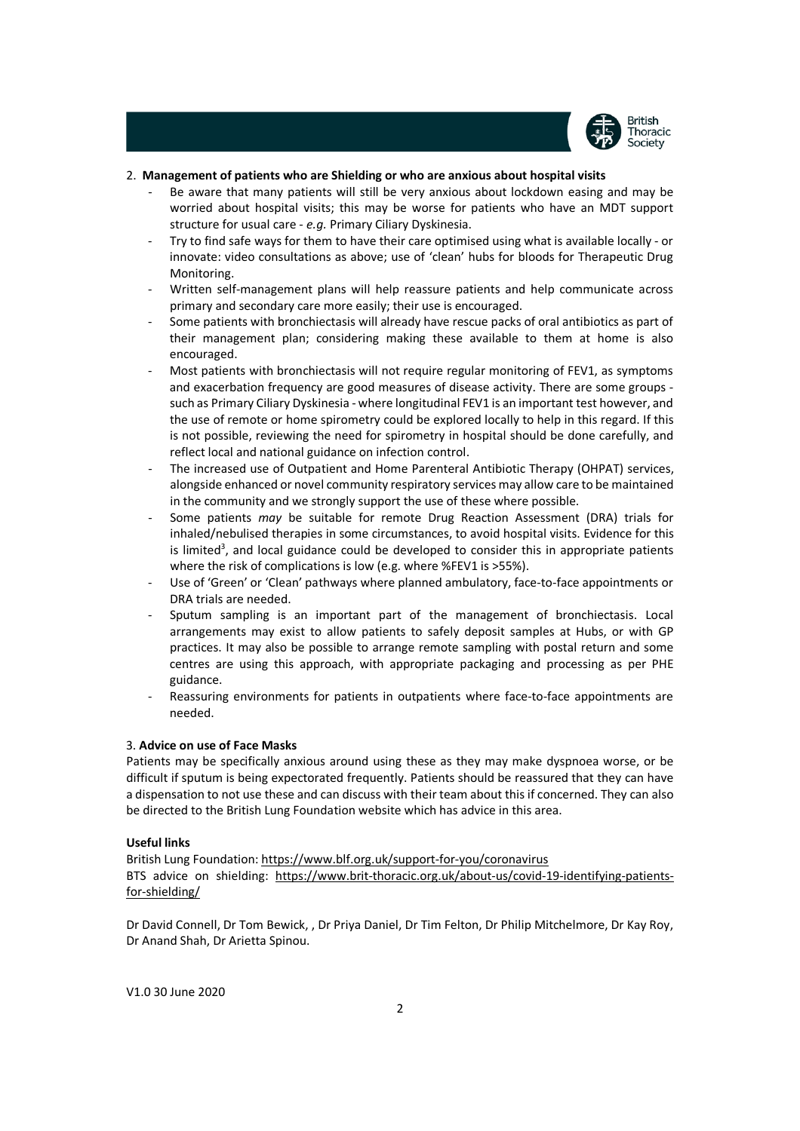

## 2. **Management of patients who are Shielding or who are anxious about hospital visits**

- Be aware that many patients will still be very anxious about lockdown easing and may be worried about hospital visits; this may be worse for patients who have an MDT support structure for usual care - *e.g.* Primary Ciliary Dyskinesia.
- Try to find safe ways for them to have their care optimised using what is available locally or innovate: video consultations as above; use of 'clean' hubs for bloods for Therapeutic Drug Monitoring.
- Written self-management plans will help reassure patients and help communicate across primary and secondary care more easily; their use is encouraged.
- Some patients with bronchiectasis will already have rescue packs of oral antibiotics as part of their management plan; considering making these available to them at home is also encouraged.
- Most patients with bronchiectasis will not require regular monitoring of FEV1, as symptoms and exacerbation frequency are good measures of disease activity. There are some groups such as Primary Ciliary Dyskinesia - where longitudinal FEV1 is an important test however, and the use of remote or home spirometry could be explored locally to help in this regard. If this is not possible, reviewing the need for spirometry in hospital should be done carefully, and reflect local and national guidance on infection control.
- The increased use of Outpatient and Home Parenteral Antibiotic Therapy (OHPAT) services, alongside enhanced or novel community respiratory services may allow care to be maintained in the community and we strongly support the use of these where possible.
- Some patients *may* be suitable for remote Drug Reaction Assessment (DRA) trials for inhaled/nebulised therapies in some circumstances, to avoid hospital visits. Evidence for this is limited<sup>3</sup>, and local guidance could be developed to consider this in appropriate patients where the risk of complications is low (e.g. where %FEV1 is >55%).
- Use of 'Green' or 'Clean' pathways where planned ambulatory, face-to-face appointments or DRA trials are needed.
- Sputum sampling is an important part of the management of bronchiectasis. Local arrangements may exist to allow patients to safely deposit samples at Hubs, or with GP practices. It may also be possible to arrange remote sampling with postal return and some centres are using this approach, with appropriate packaging and processing as per PHE guidance.
- Reassuring environments for patients in outpatients where face-to-face appointments are needed.

### 3. **Advice on use of Face Masks**

Patients may be specifically anxious around using these as they may make dyspnoea worse, or be difficult if sputum is being expectorated frequently. Patients should be reassured that they can have a dispensation to not use these and can discuss with their team about this if concerned. They can also be directed to the British Lung Foundation website which has advice in this area.

### **Useful links**

British Lung Foundation: https://www.blf.org.uk/support-for-you/coronavirus BTS advice on shielding: https://www.brit-thoracic.org.uk/about-us/covid-19-identifying-patientsfor-shielding/

Dr David Connell, Dr Tom Bewick, , Dr Priya Daniel, Dr Tim Felton, Dr Philip Mitchelmore, Dr Kay Roy, Dr Anand Shah, Dr Arietta Spinou.

V1.0 30 June 2020